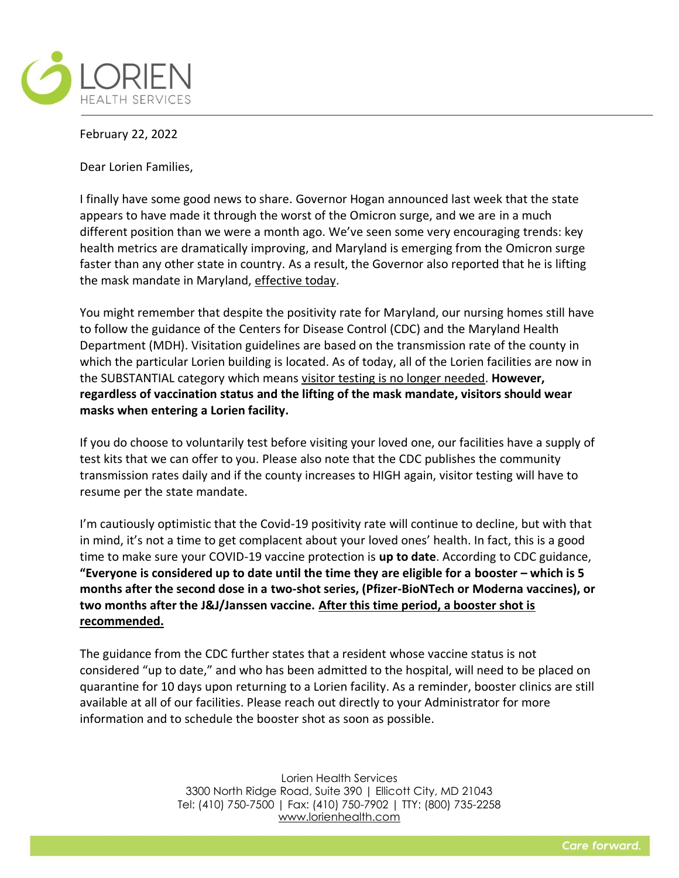

February 22, 2022

Dear Lorien Families,

I finally have some good news to share. Governor Hogan announced last week that the state appears to have made it through the worst of the Omicron surge, and we are in a much different position than we were a month ago. We've seen some very encouraging trends: key health metrics are dramatically improving, and Maryland is emerging from the Omicron surge faster than any other state in country. As a result, the Governor also reported that he is lifting the mask mandate in Maryland, effective today.

You might remember that despite the positivity rate for Maryland, our nursing homes still have to follow the guidance of the Centers for Disease Control (CDC) and the Maryland Health Department (MDH). Visitation guidelines are based on the transmission rate of the county in which the particular Lorien building is located. As of today, all of the Lorien facilities are now in the SUBSTANTIAL category which means visitor testing is no longer needed. **However, regardless of vaccination status and the lifting of the mask mandate, visitors should wear masks when entering a Lorien facility.** 

If you do choose to voluntarily test before visiting your loved one, our facilities have a supply of test kits that we can offer to you. Please also note that the CDC publishes the community transmission rates daily and if the county increases to HIGH again, visitor testing will have to resume per the state mandate.

I'm cautiously optimistic that the Covid-19 positivity rate will continue to decline, but with that in mind, it's not a time to get complacent about your loved ones' health. In fact, this is a good time to make sure your COVID-19 vaccine protection is **up to date**. According to CDC guidance, **"Everyone is considered up to date until the time they are eligible for a booster – which is 5 months after the second dose in a two-shot series, (Pfizer-BioNTech or Moderna vaccines), or two months after the J&J/Janssen vaccine. After this time period, a booster shot is recommended.**

The guidance from the CDC further states that a resident whose vaccine status is not considered "up to date," and who has been admitted to the hospital, will need to be placed on quarantine for 10 days upon returning to a Lorien facility. As a reminder, booster clinics are still available at all of our facilities. Please reach out directly to your Administrator for more information and to schedule the booster shot as soon as possible.

> Lorien Health Services 3300 North Ridge Road, Suite 390 | Ellicott City, MD 21043 Tel: (410) 750-7500 | Fax: (410) 750-7902 | TTY: (800) 735-2258 [www.lorienhealth.com](http://www.lorienhealth.com/)